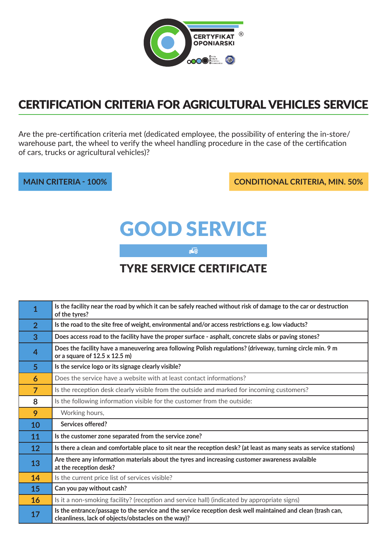

## Certification Criteria for Agricultural vehicles service

Are the pre-certification criteria met (dedicated employee, the possibility of entering the in-store/ warehouse part, the wheel to verify the wheel handling procedure in the case of the certification of cars, trucks or agricultural vehicles)?

**main criteria - 100% conditional criteria, min. 50%**

# Good service

 $\overline{\bullet}$ 

### tyre service certificate

| $\overline{1}$  | Is the facility near the road by which it can be safely reached without risk of damage to the car or destruction<br>of the tyres?                                  |
|-----------------|--------------------------------------------------------------------------------------------------------------------------------------------------------------------|
| $\overline{2}$  | Is the road to the site free of weight, environmental and/or access restrictions e.g. low viaducts?                                                                |
| 3               | Does access road to the facility have the proper surface - asphalt, concrete slabs or paving stones?                                                               |
| $\overline{4}$  | Does the facility have a maneuvering area following Polish regulations? (driveway, turning circle min. 9 m<br>or a square of $12.5 \times 12.5$ m)                 |
| 5 <sup>5</sup>  | Is the service logo or its signage clearly visible?                                                                                                                |
| 6               | Does the service have a website with at least contact informations?                                                                                                |
| $\overline{7}$  | Is the reception desk clearly visible from the outside and marked for incoming customers?                                                                          |
| 8               | Is the following information visible for the customer from the outside:                                                                                            |
| 9               | Working hours,                                                                                                                                                     |
| 10              | Services offered?                                                                                                                                                  |
| 11              | Is the customer zone separated from the service zone?                                                                                                              |
| 12 <sup>2</sup> | Is there a clean and comfortable place to sit near the reception desk? (at least as many seats as service stations)                                                |
| 13              | Are there any information materials about the tyres and increasing customer awareness avalaible<br>at the reception desk?                                          |
| 14              | Is the current price list of services visible?                                                                                                                     |
| 15              | Can you pay without cash?                                                                                                                                          |
| 16              | Is it a non-smoking facility? (reception and service hall) (indicated by appropriate signs)                                                                        |
| 17              | Is the entrance/passage to the service and the service reception desk well maintained and clean (trash can,<br>cleanliness, lack of objects/obstacles on the way)? |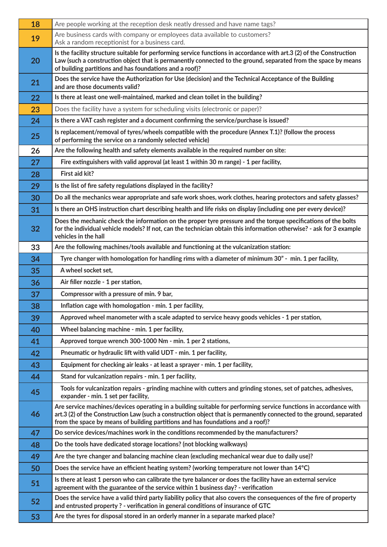| 18 | Are people working at the reception desk neatly dressed and have name tags?                                                                                                                                                                                                                                                  |
|----|------------------------------------------------------------------------------------------------------------------------------------------------------------------------------------------------------------------------------------------------------------------------------------------------------------------------------|
| 19 | Are business cards with company or employees data available to customers?<br>Ask a random receptionist for a business card.                                                                                                                                                                                                  |
| 20 | Is the facility structure suitable for performing service functions in accordance with art.3 (2) of the Construction<br>Law (such a construction object that is permanently connected to the ground, separated from the space by means<br>of building partitions and has foundations and a roof)?                            |
| 21 | Does the service have the Authorization for Use (decision) and the Technical Acceptance of the Building<br>and are those documents valid?                                                                                                                                                                                    |
| 22 | Is there at least one well-maintained, marked and clean toilet in the building?                                                                                                                                                                                                                                              |
| 23 | Does the facility have a system for scheduling visits (electronic or paper)?                                                                                                                                                                                                                                                 |
| 24 | Is there a VAT cash register and a document confirming the service/purchase is issued?                                                                                                                                                                                                                                       |
| 25 | Is replacement/removal of tyres/wheels compatible with the procedure (Annex T.1)? (follow the process<br>of performing the service on a randomly selected vehicle)                                                                                                                                                           |
| 26 | Are the following health and safety elements available in the required number on site:                                                                                                                                                                                                                                       |
| 27 | Fire extinguishers with valid approval (at least 1 within 30 m range) - 1 per facility,                                                                                                                                                                                                                                      |
| 28 | First aid kit?                                                                                                                                                                                                                                                                                                               |
| 29 | Is the list of fire safety regulations displayed in the facility?                                                                                                                                                                                                                                                            |
| 30 | Do all the mechanics wear appropriate and safe work shoes, work clothes, hearing protectors and safety glasses?                                                                                                                                                                                                              |
| 31 | Is there an OHS instruction chart describing health and life risks on display (including one per every device)?                                                                                                                                                                                                              |
| 32 | Does the mechanic check the information on the proper tyre pressure and the torque specifications of the bolts<br>for the individual vehicle models? If not, can the technician obtain this information otherwise? - ask for 3 example<br>vehicles in the hall                                                               |
| 33 | Are the following machines/tools available and functioning at the vulcanization station:                                                                                                                                                                                                                                     |
| 34 | Tyre changer with homologation for handling rims with a diameter of minimum 30" - min. 1 per facility,                                                                                                                                                                                                                       |
| 35 | A wheel socket set,                                                                                                                                                                                                                                                                                                          |
| 36 | Air filler nozzle - 1 per station,                                                                                                                                                                                                                                                                                           |
| 37 | Compressor with a pressure of min. 9 bar,                                                                                                                                                                                                                                                                                    |
| 38 | Inflation cage with homologation - min. 1 per facility,                                                                                                                                                                                                                                                                      |
| 39 | Approved wheel manometer with a scale adapted to service heavy goods vehicles - 1 per station,                                                                                                                                                                                                                               |
| 40 | Wheel balancing machine - min. 1 per facility,                                                                                                                                                                                                                                                                               |
| 41 | Approved torque wrench 300-1000 Nm - min. 1 per 2 stations,                                                                                                                                                                                                                                                                  |
| 42 | Pneumatic or hydraulic lift with valid UDT - min. 1 per facility,                                                                                                                                                                                                                                                            |
| 43 | Equipment for checking air leaks - at least a sprayer - min. 1 per facility,                                                                                                                                                                                                                                                 |
| 44 | Stand for vulcanization repairs - min. 1 per facility,                                                                                                                                                                                                                                                                       |
| 45 | Tools for vulcanization repairs - grinding machine with cutters and grinding stones, set of patches, adhesives,<br>expander - min. 1 set per facility,                                                                                                                                                                       |
| 46 | Are service machines/devices operating in a building suitable for performing service functions in accordance with<br>art.3 (2) of the Construction Law (such a construction object that is permanently connected to the ground, separated<br>from the space by means of building partitions and has foundations and a roof)? |
| 47 | Do service devices/machines work in the conditions recommended by the manufacturers?                                                                                                                                                                                                                                         |
| 48 | Do the tools have dedicated storage locations? (not blocking walkways)                                                                                                                                                                                                                                                       |
| 49 | Are the tyre changer and balancing machine clean (excluding mechanical wear due to daily use)?                                                                                                                                                                                                                               |
| 50 | Does the service have an efficient heating system? (working temperature not lower than 14°C)                                                                                                                                                                                                                                 |
| 51 | Is there at least 1 person who can calibrate the tyre balancer or does the facility have an external service<br>agreement with the guarantee of the service within 1 business day? - verification                                                                                                                            |
| 52 | Does the service have a valid third party liability policy that also covers the consequences of the fire of property<br>and entrusted property ? - verification in general conditions of insurance of GTC                                                                                                                    |
| 53 | Are the tyres for disposal stored in an orderly manner in a separate marked place?                                                                                                                                                                                                                                           |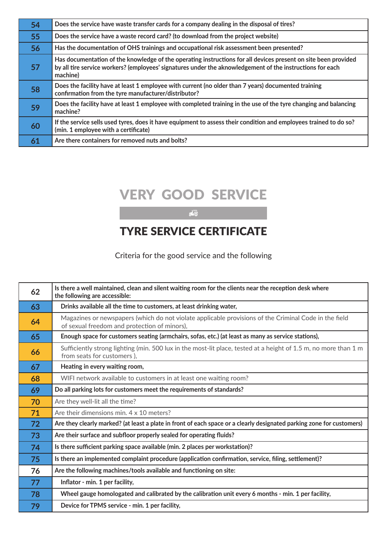| 54 | Does the service have waste transfer cards for a company dealing in the disposal of tires?                                                                                                                                              |
|----|-----------------------------------------------------------------------------------------------------------------------------------------------------------------------------------------------------------------------------------------|
| 55 | Does the service have a waste record card? (to download from the project website)                                                                                                                                                       |
| 56 | Has the documentation of OHS trainings and occupational risk assessment been presented?                                                                                                                                                 |
| 57 | Has documentation of the knowledge of the operating instructions for all devices present on site been provided<br>by all tire service workers? (employees' signatures under the aknowledgement of the instructions for each<br>machine) |
| 58 | Does the facility have at least 1 employee with current (no older than 7 years) documented training<br>confirmation from the tyre manufacturer/distributor?                                                                             |
| 59 | Does the facility have at least 1 employee with completed training in the use of the tyre changing and balancing<br>machine?                                                                                                            |
| 60 | If the service sells used tyres, does it have equipment to assess their condition and employees trained to do so?<br>(min. 1 employee with a certificate)                                                                               |
| 61 | Are there containers for removed nuts and bolts?                                                                                                                                                                                        |

## very good service

#### $\frac{1}{5}$   $\frac{1}{6}$

### tyre service certificate

Criteria for the good service and the following

| 62 | Is there a well maintained, clean and silent waiting room for the clients near the reception desk where<br>the following are accessible:              |
|----|-------------------------------------------------------------------------------------------------------------------------------------------------------|
| 63 | Drinks available all the time to customers, at least drinking water,                                                                                  |
| 64 | Magazines or newspapers (which do not violate applicable provisions of the Criminal Code in the field<br>of sexual freedom and protection of minors), |
| 65 | Enough space for customers seating (armchairs, sofas, etc.) (at least as many as service stations),                                                   |
| 66 | Sufficiently strong lighting (min. 500 lux in the most-lit place, tested at a height of 1.5 m, no more than 1 m<br>from seats for customers),         |
| 67 | Heating in every waiting room,                                                                                                                        |
| 68 | WIFI network available to customers in at least one waiting room?                                                                                     |
| 69 | Do all parking lots for customers meet the requirements of standards?                                                                                 |
| 70 | Are they well-lit all the time?                                                                                                                       |
| 71 | Are their dimensions min. 4 x 10 meters?                                                                                                              |
| 72 | Are they clearly marked? (at least a plate in front of each space or a clearly designated parking zone for customers)                                 |
| 73 | Are their surface and subfloor properly sealed for operating fluids?                                                                                  |
| 74 | Is there sufficient parking space available (min. 2 places per workstation)?                                                                          |
| 75 | Is there an implemented complaint procedure (application confirmation, service, filing, settlement)?                                                  |
| 76 | Are the following machines/tools available and functioning on site:                                                                                   |
| 77 | Inflator - min. 1 per facility,                                                                                                                       |
| 78 | Wheel gauge homologated and calibrated by the calibration unit every 6 months - min. 1 per facility,                                                  |
| 79 | Device for TPMS service - min. 1 per facility,                                                                                                        |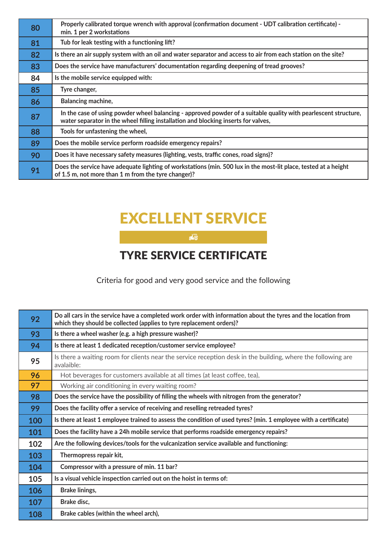| 80 | Properly calibrated torque wrench with approval (confirmation document - UDT calibration certificate) -<br>min. 1 per 2 workstations                                                                  |
|----|-------------------------------------------------------------------------------------------------------------------------------------------------------------------------------------------------------|
| 81 | Tub for leak testing with a functioning lift?                                                                                                                                                         |
| 82 | Is there an air supply system with an oil and water separator and access to air from each station on the site?                                                                                        |
| 83 | Does the service have manufacturers' documentation regarding deepening of tread grooves?                                                                                                              |
| 84 | Is the mobile service equipped with:                                                                                                                                                                  |
| 85 | Tyre changer,                                                                                                                                                                                         |
| 86 | Balancing machine,                                                                                                                                                                                    |
| 87 | In the case of using powder wheel balancing - approved powder of a suitable quality with pearlescent structure,<br>water separator in the wheel filling installation and blocking inserts for valves, |
| 88 | Tools for unfastening the wheel,                                                                                                                                                                      |
| 89 | Does the mobile service perform roadside emergency repairs?                                                                                                                                           |
| 90 | Does it have necessary safety measures (lighting, vests, traffic cones, road signs)?                                                                                                                  |
| 91 | Does the service have adequate lighting of workstations (min. 500 lux in the most-lit place, tested at a height<br>of 1.5 m, not more than 1 m from the tyre changer)?                                |

## excellent service

 $\frac{1}{5}$ <sup> $\frac{1}{6}$ </sup>

## tyre service certificate

Criteria for good and very good service and the following

| 92  | Do all cars in the service have a completed work order with information about the tyres and the location from<br>which they should be collected (applies to tyre replacement orders)? |
|-----|---------------------------------------------------------------------------------------------------------------------------------------------------------------------------------------|
| 93  | Is there a wheel washer (e.g. a high pressure washer)?                                                                                                                                |
| 94  | Is there at least 1 dedicated reception/customer service employee?                                                                                                                    |
| 95  | Is there a waiting room for clients near the service reception desk in the building, where the following are<br>avalaible:                                                            |
| 96  | Hot beverages for customers available at all times (at least coffee, tea),                                                                                                            |
| 97  | Working air conditioning in every waiting room?                                                                                                                                       |
| 98  | Does the service have the possibility of filling the wheels with nitrogen from the generator?                                                                                         |
| 99  | Does the facility offer a service of receiving and reselling retreaded tyres?                                                                                                         |
| 100 | Is there at least 1 employee trained to assess the condition of used tyres? (min. 1 employee with a certificate)                                                                      |
| 101 | Does the facility have a 24h mobile service that performs roadside emergency repairs?                                                                                                 |
| 102 | Are the following devices/tools for the vulcanization service available and functioning:                                                                                              |
| 103 | Thermopress repair kit,                                                                                                                                                               |
| 104 | Compressor with a pressure of min. 11 bar?                                                                                                                                            |
| 105 | Is a visual vehicle inspection carried out on the hoist in terms of:                                                                                                                  |
| 106 | <b>Brake linings,</b>                                                                                                                                                                 |
| 107 | Brake disc,                                                                                                                                                                           |
| 108 | Brake cables (within the wheel arch),                                                                                                                                                 |